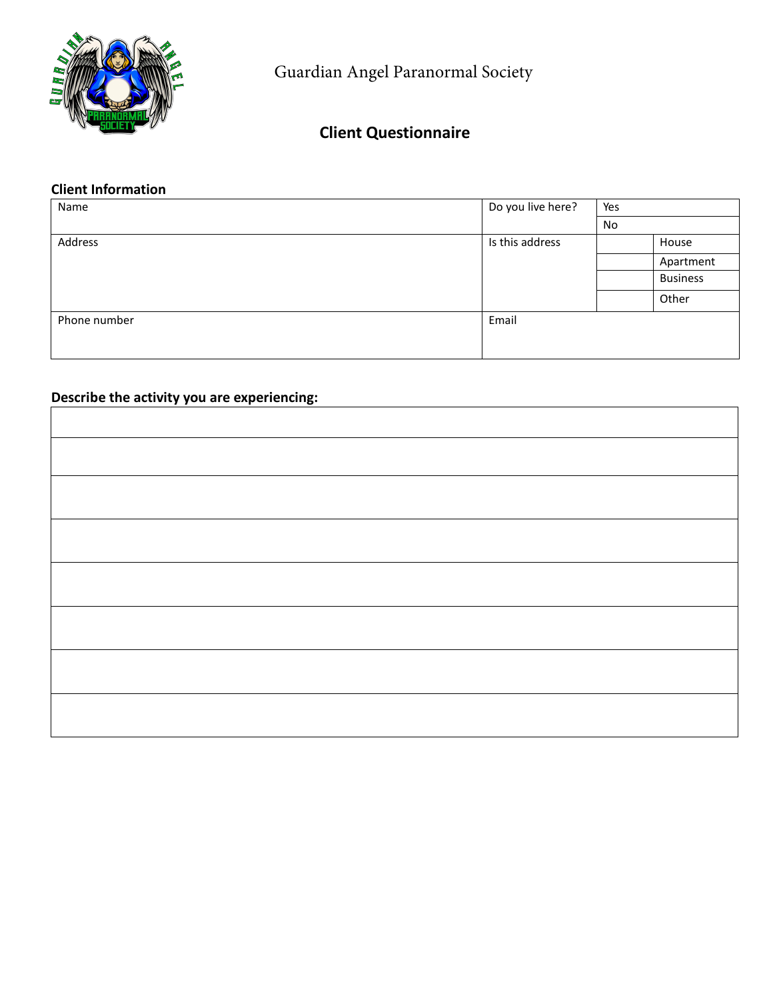

Guardian Angel Paranormal Society

# **Client Questionnaire**

#### **Client Information**

| Name         | Do you live here? | Yes |                 |
|--------------|-------------------|-----|-----------------|
|              |                   | No  |                 |
| Address      | Is this address   |     | House           |
|              |                   |     | Apartment       |
|              |                   |     | <b>Business</b> |
|              |                   |     | Other           |
| Phone number | Email             |     |                 |
|              |                   |     |                 |

# **Describe the activity you are experiencing:**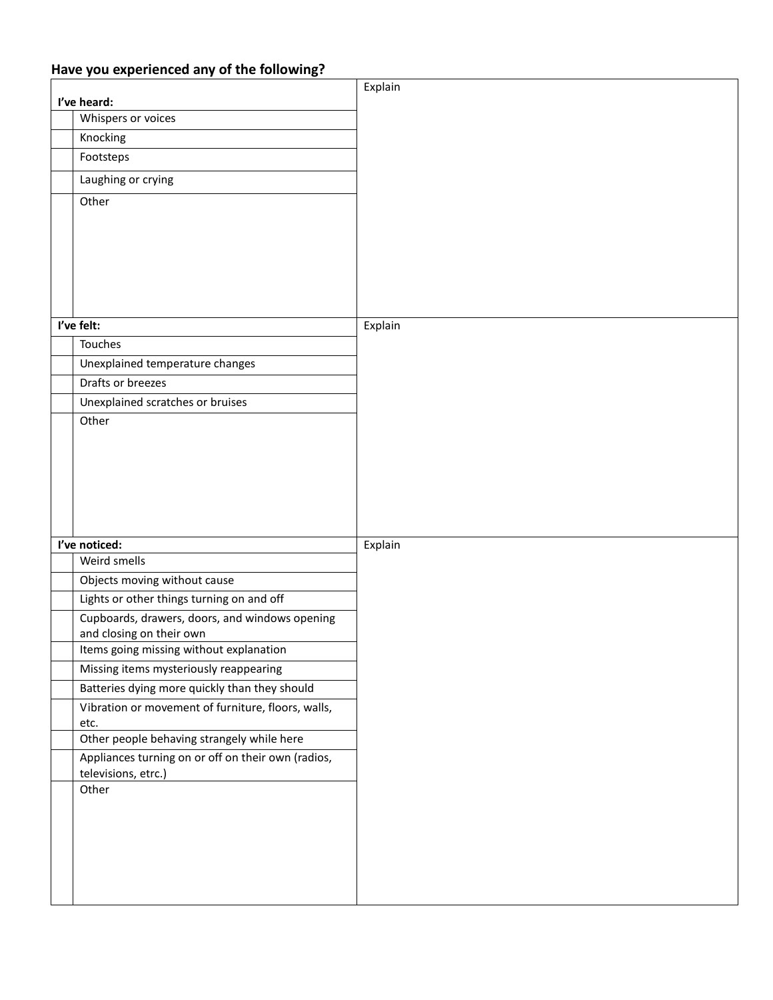## **Have you experienced any of the following?**

|                                                                            | Explain |
|----------------------------------------------------------------------------|---------|
| I've heard:                                                                |         |
| Whispers or voices                                                         |         |
| Knocking                                                                   |         |
| Footsteps                                                                  |         |
| Laughing or crying                                                         |         |
| Other                                                                      |         |
|                                                                            |         |
|                                                                            |         |
|                                                                            |         |
|                                                                            |         |
|                                                                            |         |
| I've felt:                                                                 | Explain |
| Touches                                                                    |         |
| Unexplained temperature changes                                            |         |
| Drafts or breezes                                                          |         |
| Unexplained scratches or bruises                                           |         |
| Other                                                                      |         |
|                                                                            |         |
|                                                                            |         |
|                                                                            |         |
|                                                                            |         |
|                                                                            |         |
|                                                                            |         |
| I've noticed:<br>Weird smells                                              | Explain |
|                                                                            |         |
| Objects moving without cause<br>Lights or other things turning on and off  |         |
|                                                                            |         |
| Cupboards, drawers, doors, and windows opening<br>and closing on their own |         |
| Items going missing without explanation                                    |         |
| Missing items mysteriously reappearing                                     |         |
| Batteries dying more quickly than they should                              |         |
| Vibration or movement of furniture, floors, walls,                         |         |
| etc.                                                                       |         |
| Other people behaving strangely while here                                 |         |
| Appliances turning on or off on their own (radios,                         |         |
| televisions, etrc.)<br>Other                                               |         |
|                                                                            |         |
|                                                                            |         |
|                                                                            |         |
|                                                                            |         |
|                                                                            |         |
|                                                                            |         |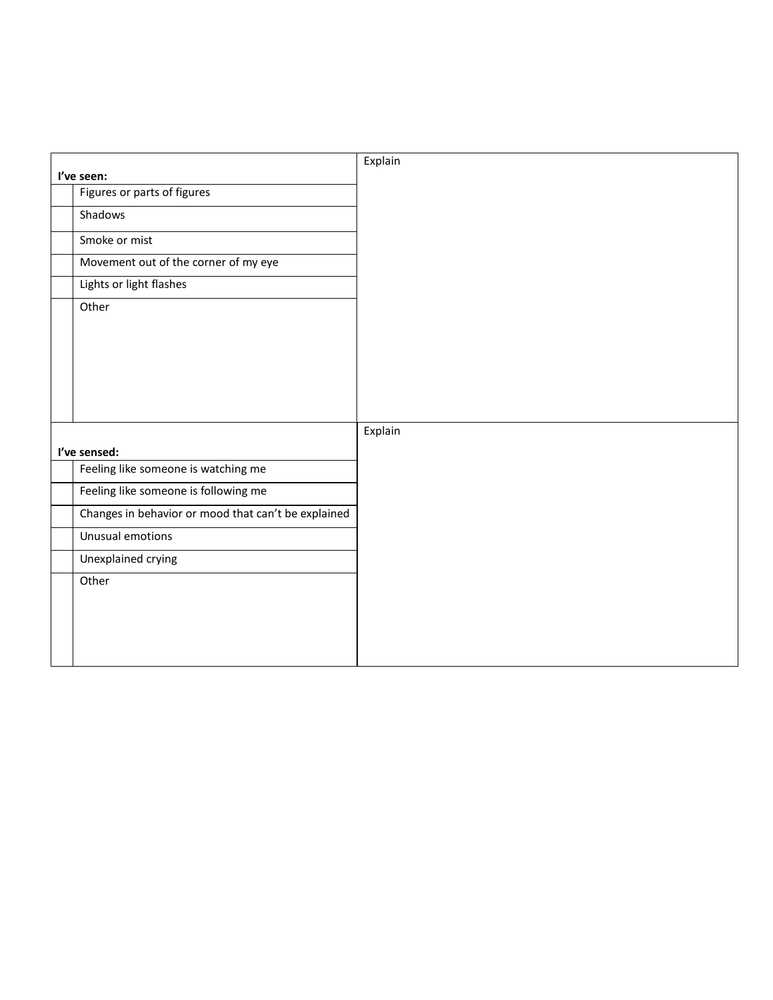|                                                     | Explain |
|-----------------------------------------------------|---------|
| l've seen:                                          |         |
| Figures or parts of figures                         |         |
| Shadows                                             |         |
| Smoke or mist                                       |         |
| Movement out of the corner of my eye                |         |
| Lights or light flashes                             |         |
| Other                                               |         |
| I've sensed:                                        | Explain |
| Feeling like someone is watching me                 |         |
| Feeling like someone is following me                |         |
| Changes in behavior or mood that can't be explained |         |
| Unusual emotions                                    |         |
| Unexplained crying                                  |         |
| Other                                               |         |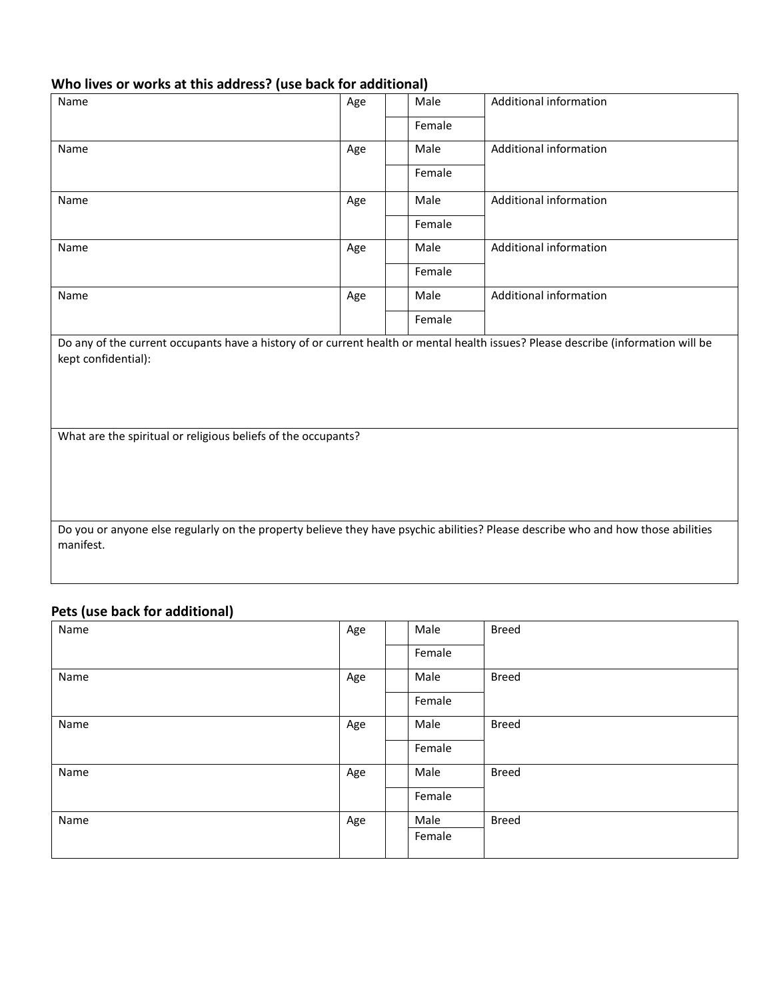#### **Who lives or works at this address? (use back for additional)**

| Name                                                                                                                                                     | Age | Male   | <b>Additional information</b> |  |
|----------------------------------------------------------------------------------------------------------------------------------------------------------|-----|--------|-------------------------------|--|
|                                                                                                                                                          |     | Female |                               |  |
| Name                                                                                                                                                     | Age | Male   | <b>Additional information</b> |  |
|                                                                                                                                                          |     | Female |                               |  |
| Name                                                                                                                                                     | Age | Male   | <b>Additional information</b> |  |
|                                                                                                                                                          |     | Female |                               |  |
| Name                                                                                                                                                     | Age | Male   | <b>Additional information</b> |  |
|                                                                                                                                                          |     | Female |                               |  |
| Name                                                                                                                                                     | Age | Male   | Additional information        |  |
|                                                                                                                                                          |     | Female |                               |  |
| Do any of the current occupants have a history of or current health or mental health issues? Please describe (information will be<br>kept confidential): |     |        |                               |  |
| What are the spiritual or religious beliefs of the occupants?                                                                                            |     |        |                               |  |
|                                                                                                                                                          |     |        |                               |  |
|                                                                                                                                                          |     |        |                               |  |
|                                                                                                                                                          |     |        |                               |  |
| Do you or anyone else regularly on the property believe they have psychic abilities? Please describe who and how those abilities<br>manifest.            |     |        |                               |  |
|                                                                                                                                                          |     |        |                               |  |

## **Pets (use back for additional)**

| Name | Age | Male   | <b>Breed</b> |
|------|-----|--------|--------------|
|      |     | Female |              |
| Name | Age | Male   | <b>Breed</b> |
|      |     | Female |              |
| Name | Age | Male   | <b>Breed</b> |
|      |     | Female |              |
| Name | Age | Male   | <b>Breed</b> |
|      |     | Female |              |
| Name | Age | Male   | <b>Breed</b> |
|      |     | Female |              |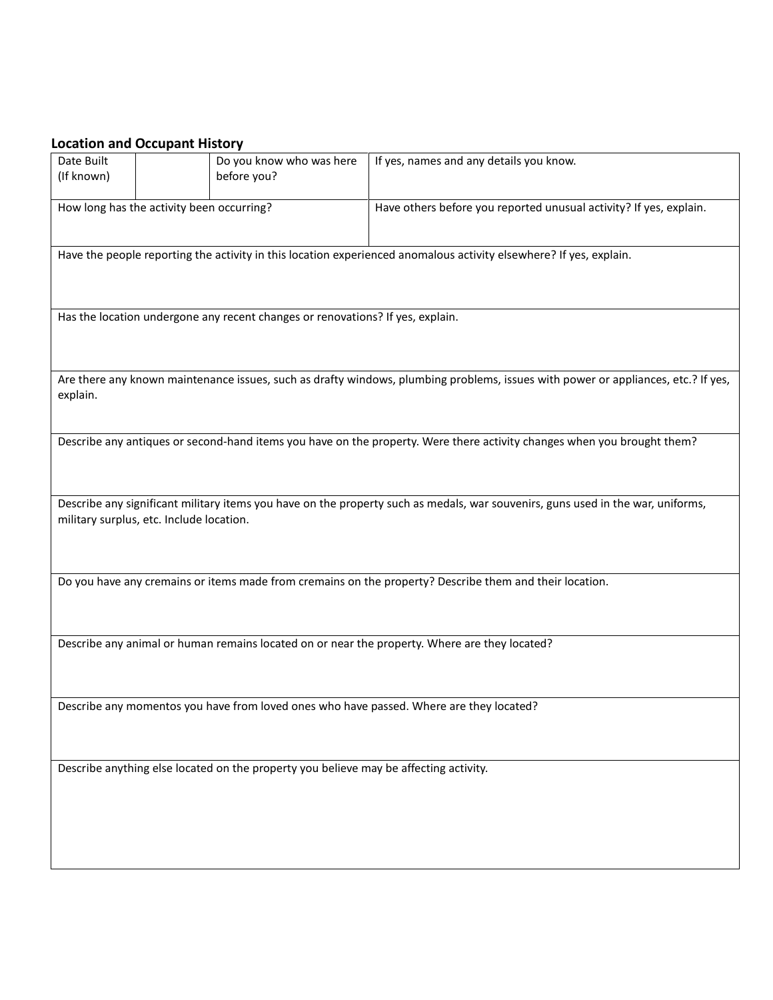#### **Location and Occupant History**

| Date Built                                | Do you know who was here                                                              | If yes, names and any details you know.                                                                                           |
|-------------------------------------------|---------------------------------------------------------------------------------------|-----------------------------------------------------------------------------------------------------------------------------------|
| (If known)                                | before you?                                                                           |                                                                                                                                   |
|                                           |                                                                                       |                                                                                                                                   |
|                                           |                                                                                       |                                                                                                                                   |
| How long has the activity been occurring? |                                                                                       | Have others before you reported unusual activity? If yes, explain.                                                                |
|                                           |                                                                                       |                                                                                                                                   |
|                                           |                                                                                       |                                                                                                                                   |
|                                           |                                                                                       | Have the people reporting the activity in this location experienced anomalous activity elsewhere? If yes, explain.                |
|                                           |                                                                                       |                                                                                                                                   |
|                                           |                                                                                       |                                                                                                                                   |
|                                           |                                                                                       |                                                                                                                                   |
|                                           |                                                                                       |                                                                                                                                   |
|                                           | Has the location undergone any recent changes or renovations? If yes, explain.        |                                                                                                                                   |
|                                           |                                                                                       |                                                                                                                                   |
|                                           |                                                                                       |                                                                                                                                   |
|                                           |                                                                                       |                                                                                                                                   |
|                                           |                                                                                       |                                                                                                                                   |
|                                           |                                                                                       | Are there any known maintenance issues, such as drafty windows, plumbing problems, issues with power or appliances, etc.? If yes, |
| explain.                                  |                                                                                       |                                                                                                                                   |
|                                           |                                                                                       |                                                                                                                                   |
|                                           |                                                                                       |                                                                                                                                   |
|                                           |                                                                                       | Describe any antiques or second-hand items you have on the property. Were there activity changes when you brought them?           |
|                                           |                                                                                       |                                                                                                                                   |
|                                           |                                                                                       |                                                                                                                                   |
|                                           |                                                                                       |                                                                                                                                   |
|                                           |                                                                                       |                                                                                                                                   |
|                                           |                                                                                       | Describe any significant military items you have on the property such as medals, war souvenirs, guns used in the war, uniforms,   |
|                                           |                                                                                       |                                                                                                                                   |
| military surplus, etc. Include location.  |                                                                                       |                                                                                                                                   |
|                                           |                                                                                       |                                                                                                                                   |
|                                           |                                                                                       |                                                                                                                                   |
|                                           |                                                                                       |                                                                                                                                   |
|                                           |                                                                                       | Do you have any cremains or items made from cremains on the property? Describe them and their location.                           |
|                                           |                                                                                       |                                                                                                                                   |
|                                           |                                                                                       |                                                                                                                                   |
|                                           |                                                                                       |                                                                                                                                   |
|                                           |                                                                                       |                                                                                                                                   |
|                                           |                                                                                       | Describe any animal or human remains located on or near the property. Where are they located?                                     |
|                                           |                                                                                       |                                                                                                                                   |
|                                           |                                                                                       |                                                                                                                                   |
|                                           |                                                                                       |                                                                                                                                   |
|                                           |                                                                                       |                                                                                                                                   |
|                                           |                                                                                       | Describe any momentos you have from loved ones who have passed. Where are they located?                                           |
|                                           |                                                                                       |                                                                                                                                   |
|                                           |                                                                                       |                                                                                                                                   |
|                                           |                                                                                       |                                                                                                                                   |
|                                           |                                                                                       |                                                                                                                                   |
|                                           | Describe anything else located on the property you believe may be affecting activity. |                                                                                                                                   |
|                                           |                                                                                       |                                                                                                                                   |
|                                           |                                                                                       |                                                                                                                                   |
|                                           |                                                                                       |                                                                                                                                   |
|                                           |                                                                                       |                                                                                                                                   |
|                                           |                                                                                       |                                                                                                                                   |
|                                           |                                                                                       |                                                                                                                                   |
|                                           |                                                                                       |                                                                                                                                   |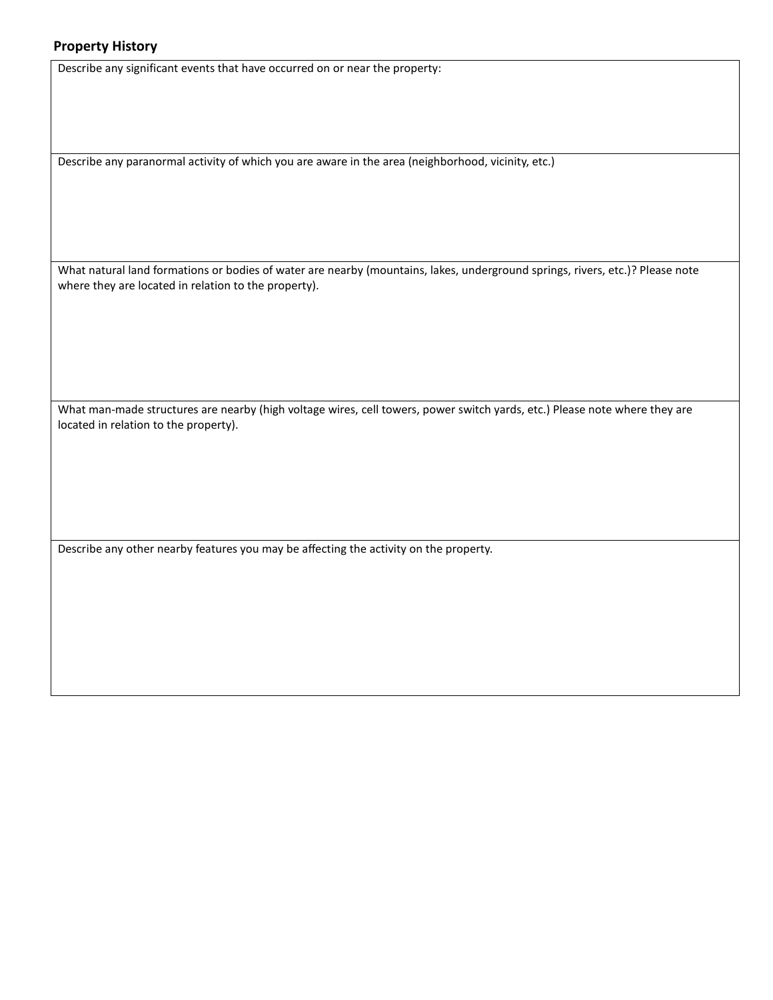#### **Property History**

Describe any significant events that have occurred on or near the property:

Describe any paranormal activity of which you are aware in the area (neighborhood, vicinity, etc.)

What natural land formations or bodies of water are nearby (mountains, lakes, underground springs, rivers, etc.)? Please note where they are located in relation to the property).

What man-made structures are nearby (high voltage wires, cell towers, power switch yards, etc.) Please note where they are located in relation to the property).

Describe any other nearby features you may be affecting the activity on the property.